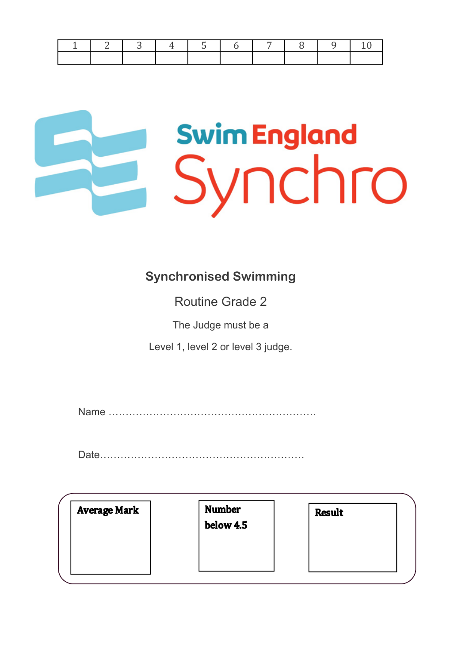|  | $\begin{array}{ c c c c c } \hline 3 & 4 \\ \hline \end{array}$ |  |  | 1 5 6 7 8 9 10 |  |
|--|-----------------------------------------------------------------|--|--|----------------|--|
|  |                                                                 |  |  |                |  |

# **Swim England** Synchro

#### **Synchronised Swimming**

Routine Grade 2

The Judge must be a

Level 1, level 2 or level 3 judge.

Name …………………………………………………….

Date……………………………………………………

| <b>Average Mark</b> | <b>Number</b><br>below 4.5 | <b>Result</b> |
|---------------------|----------------------------|---------------|
|                     |                            |               |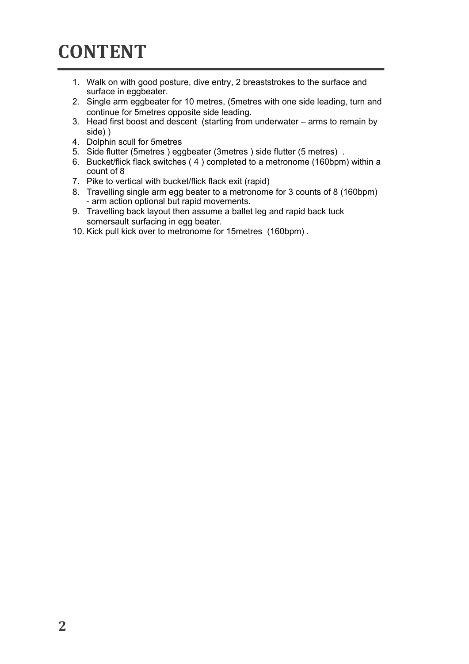#### **CONTENT**

- 1. Walk on with good posture, dive entry, 2 breaststrokes to the surface and surface in eggbeater.
- 2. Single arm eggbeater for 10 metres, (5metres with one side leading, turn and continue for 5metres opposite side leading.
- 3. Head first boost and descent (starting from underwater arms to remain by side) )
- 4. Dolphin scull for 5metres
- 5. Side flutter (5metres ) eggbeater (3metres ) side flutter (5 metres) .
- 6. Bucket/flick flack switches ( 4 ) completed to a metronome (160bpm) within a count of 8
- 7. Pike to vertical with bucket/flick flack exit (rapid)
- 8. Travelling single arm egg beater to a metronome for 3 counts of 8 (160bpm) - arm action optional but rapid movements.
- 9. Travelling back layout then assume a ballet leg and rapid back tuck somersault surfacing in egg beater.
- 10. Kick pull kick over to metronome for 15metres (160bpm) .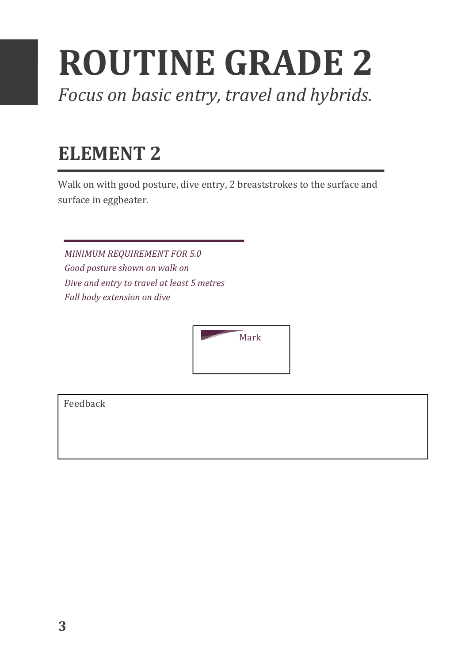## **ROUTINE GRADE 2**

Focus on basic entry, travel and hybrids.

#### **ELEMENT 2**

Walk on with good posture, dive entry, 2 breaststrokes to the surface and surface in eggbeater.

**MINIMUM REQUIREMENT FOR 5.0** Good posture shown on walk on *Dive and entry to travel at least 5 metres Full body extension on dive* 

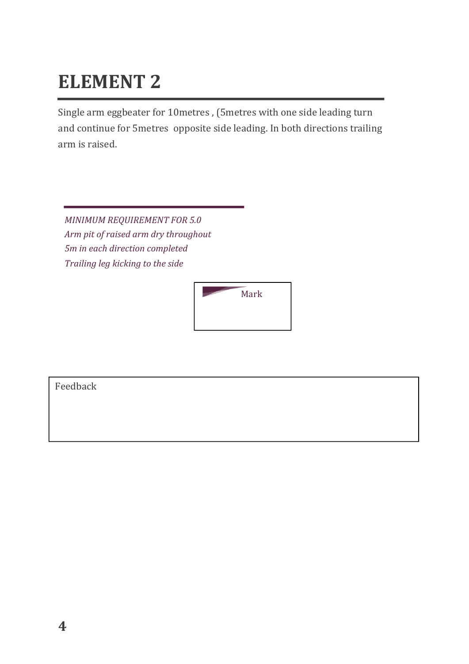Single arm eggbeater for 10metres, (5metres with one side leading turn and continue for 5metres opposite side leading. In both directions trailing arm is raised.

**MINIMUM REQUIREMENT FOR 5.0** *Arm pit of raised arm dry throughout 5m in each direction completed Trailing leg kicking to the side*

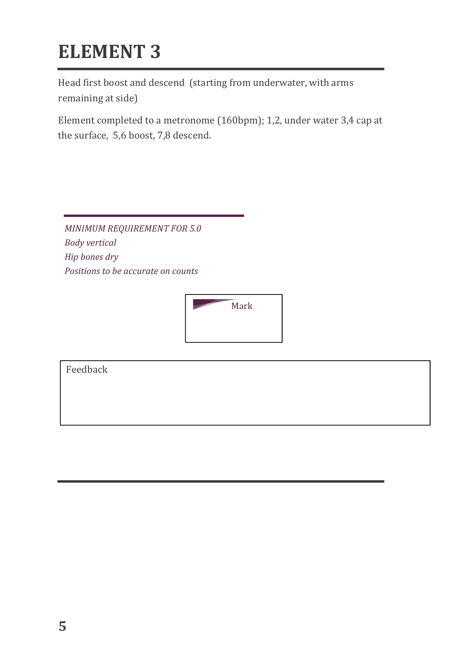Head first boost and descend (starting from underwater, with arms remaining at side)

Element completed to a metronome (160bpm); 1,2, under water 3,4 cap at the surface, 5,6 boost, 7,8 descend.

*MINIMUM REQUIREMENT FOR 5.0 Body vertical Hip bones dry*  **Positions to be accurate on counts** 

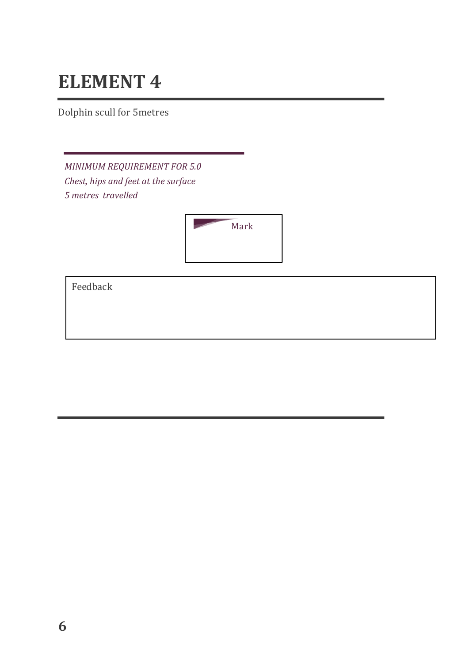Dolphin scull for 5metres

*MINIMUM REQUIREMENT FOR 5.0 Chest, hips and feet at the surface 5 metres travelled*

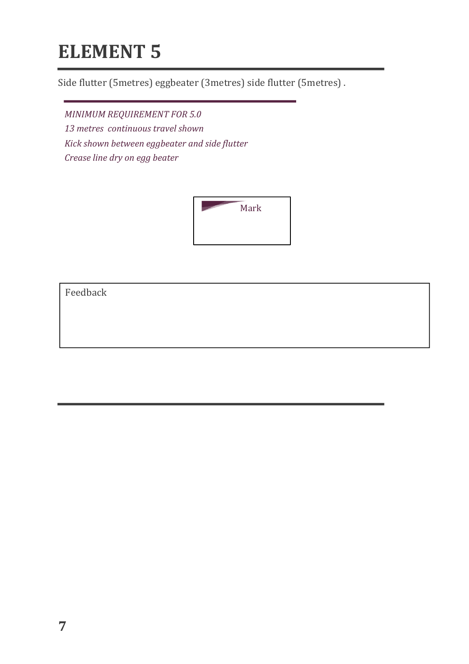Side flutter (5metres) eggbeater (3metres) side flutter (5metres).

*MINIMUM REQUIREMENT FOR 5.0 13 metres continuous travel shown Kick shown between eggbeater and side flutter Crease line dry on egg beater*

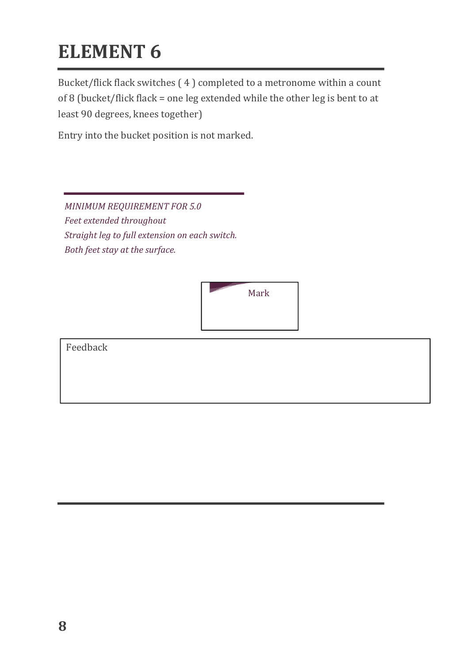Bucket/flick flack switches  $(4)$  completed to a metronome within a count of 8 (bucket/flick flack = one leg extended while the other leg is bent to at least 90 degrees, knees together)

Entry into the bucket position is not marked.

*MINIMUM REQUIREMENT FOR 5.0* Feet extended throughout *Straight leg to full extension on each switch. Both feet stay at the surface.* 

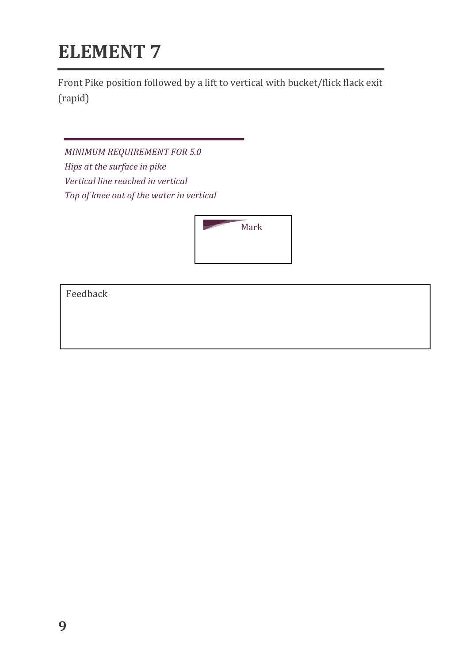Front Pike position followed by a lift to vertical with bucket/flick flack exit (rapid) 

*MINIMUM REQUIREMENT FOR 5.0 Hips* at the surface in pike *Vertical line reached in vertical* Top of knee out of the water in vertical

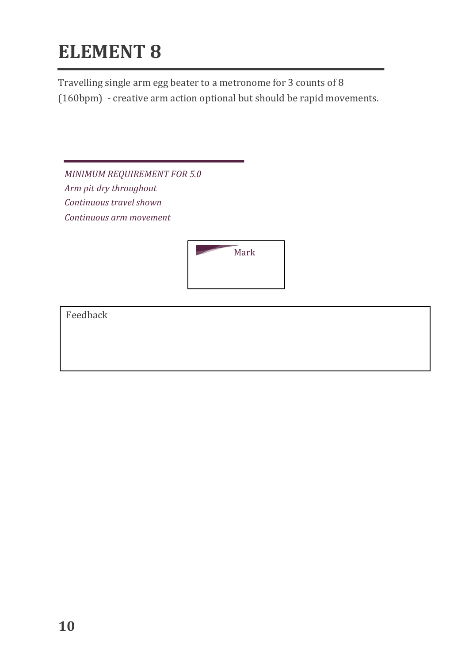Travelling single arm egg beater to a metronome for 3 counts of 8

(160bpm) - creative arm action optional but should be rapid movements.

**MINIMUM REQUIREMENT FOR 5.0** *Arm pit dry throughout Continuous travel shown Continuous arm movement* 

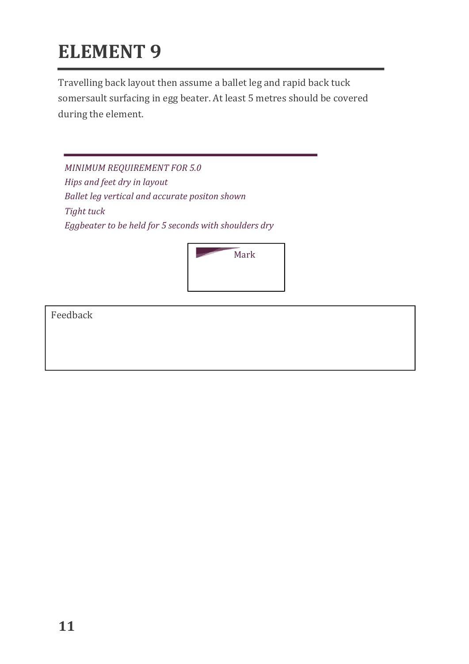Travelling back layout then assume a ballet leg and rapid back tuck somersault surfacing in egg beater. At least 5 metres should be covered during the element.

*MINIMUM REQUIREMENT FOR 5.0 Hips* and *feet dry in layout Ballet leg vertical and accurate positon shown Tight tuck* Eggbeater to be held for 5 seconds with shoulders dry